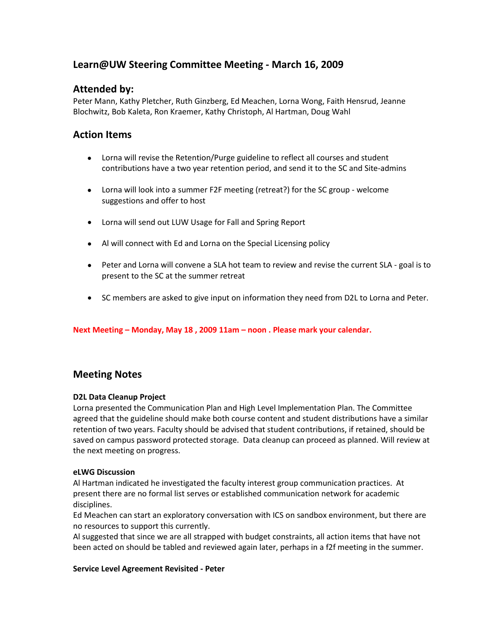# **Learn@UW Steering Committee Meeting - March 16, 2009**

## **Attended by:**

Peter Mann, Kathy Pletcher, Ruth Ginzberg, Ed Meachen, Lorna Wong, Faith Hensrud, Jeanne Blochwitz, Bob Kaleta, Ron Kraemer, Kathy Christoph, Al Hartman, Doug Wahl

## **Action Items**

- Lorna will revise the Retention/Purge guideline to reflect all courses and student contributions have a two year retention period, and send it to the SC and Site-admins
- Lorna will look into a summer F2F meeting (retreat?) for the SC group welcome suggestions and offer to host
- Lorna will send out LUW Usage for Fall and Spring Report
- Al will connect with Ed and Lorna on the Special Licensing policy
- Peter and Lorna will convene a SLA hot team to review and revise the current SLA goal is to present to the SC at the summer retreat
- SC members are asked to give input on information they need from D2L to Lorna and Peter.

**Next Meeting – Monday, May 18 , 2009 11am – noon . Please mark your calendar.**

## **Meeting Notes**

## **D2L Data Cleanup Project**

Lorna presented the Communication Plan and High Level Implementation Plan. The Committee agreed that the guideline should make both course content and student distributions have a similar retention of two years. Faculty should be advised that student contributions, if retained, should be saved on campus password protected storage. Data cleanup can proceed as planned. Will review at the next meeting on progress.

## **eLWG Discussion**

Al Hartman indicated he investigated the faculty interest group communication practices. At present there are no formal list serves or established communication network for academic disciplines.

Ed Meachen can start an exploratory conversation with ICS on sandbox environment, but there are no resources to support this currently.

Al suggested that since we are all strapped with budget constraints, all action items that have not been acted on should be tabled and reviewed again later, perhaps in a f2f meeting in the summer.

#### **Service Level Agreement Revisited - Peter**